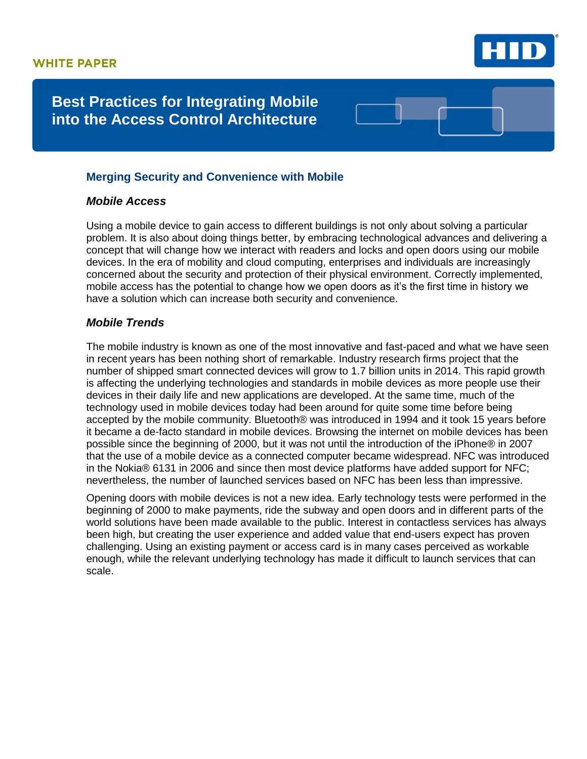

# **Best Practices for Integrating Mobile into the Access Control Architecture**

## **Merging Security and Convenience with Mobile**

## *Mobile Access*

Using a mobile device to gain access to different buildings is not only about solving a particular problem. It is also about doing things better, by embracing technological advances and delivering a concept that will change how we interact with readers and locks and open doors using our mobile devices. In the era of mobility and cloud computing, enterprises and individuals are increasingly concerned about the security and protection of their physical environment. Correctly implemented, mobile access has the potential to change how we open doors as it's the first time in history we have a solution which can increase both security and convenience.

## *Mobile Trends*

The mobile industry is known as one of the most innovative and fast-paced and what we have seen in recent years has been nothing short of remarkable. Industry research firms project that the number of shipped smart connected devices will grow to 1.7 billion units in 2014. This rapid growth is affecting the underlying technologies and standards in mobile devices as more people use their devices in their daily life and new applications are developed. At the same time, much of the technology used in mobile devices today had been around for quite some time before being accepted by the mobile community. Bluetooth® was introduced in 1994 and it took 15 years before it became a de-facto standard in mobile devices. Browsing the internet on mobile devices has been possible since the beginning of 2000, but it was not until the introduction of the iPhone® in 2007 that the use of a mobile device as a connected computer became widespread. NFC was introduced in the Nokia® 6131 in 2006 and since then most device platforms have added support for NFC; nevertheless, the number of launched services based on NFC has been less than impressive.

Opening doors with mobile devices is not a new idea. Early technology tests were performed in the beginning of 2000 to make payments, ride the subway and open doors and in different parts of the world solutions have been made available to the public. Interest in contactless services has always been high, but creating the user experience and added value that end-users expect has proven challenging. Using an existing payment or access card is in many cases perceived as workable enough, while the relevant underlying technology has made it difficult to launch services that can scale.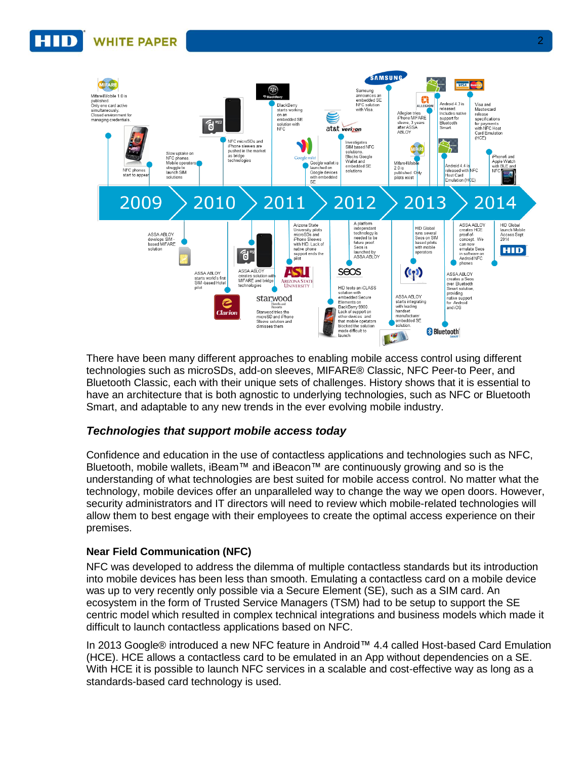

There have been many different approaches to enabling mobile access control using different technologies such as microSDs, add-on sleeves, MIFARE® Classic, NFC Peer-to Peer, and Bluetooth Classic, each with their unique sets of challenges. History shows that it is essential to have an architecture that is both agnostic to underlying technologies, such as NFC or Bluetooth Smart, and adaptable to any new trends in the ever evolving mobile industry.

## *Technologies that support mobile access today*

Confidence and education in the use of contactless applications and technologies such as NFC, Bluetooth, mobile wallets, iBeam™ and iBeacon™ are continuously growing and so is the understanding of what technologies are best suited for mobile access control. No matter what the technology, mobile devices offer an unparalleled way to change the way we open doors. However, security administrators and IT directors will need to review which mobile-related technologies will allow them to best engage with their employees to create the optimal access experience on their premises.

## **Near Field Communication (NFC)**

NFC was developed to address the dilemma of multiple contactless standards but its introduction into mobile devices has been less than smooth. Emulating a contactless card on a mobile device was up to very recently only possible via a Secure Element (SE), such as a SIM card. An ecosystem in the form of Trusted Service Managers (TSM) had to be setup to support the SE centric model which resulted in complex technical integrations and business models which made it difficult to launch contactless applications based on NFC.

In 2013 Google® introduced a new NFC feature in Android™ 4.4 called Host-based Card Emulation (HCE). HCE allows a contactless card to be emulated in an App without dependencies on a SE. With HCE it is possible to launch NFC services in a scalable and cost-effective way as long as a standards-based card technology is used.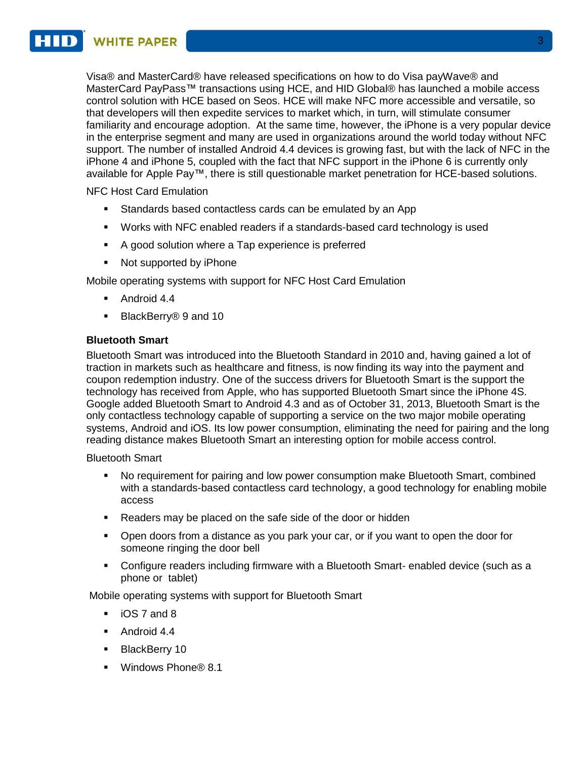**WHITE PAPER** 

Visa® and MasterCard® have released specifications on how to do Visa payWave® and MasterCard PayPass™ transactions using HCE, and HID Global® has launched a mobile access control solution with HCE based on Seos. HCE will make NFC more accessible and versatile, so that developers will then expedite services to market which, in turn, will stimulate consumer familiarity and encourage adoption. At the same time, however, the iPhone is a very popular device in the enterprise segment and many are used in organizations around the world today without NFC support. The number of installed Android 4.4 devices is growing fast, but with the lack of NFC in the iPhone 4 and iPhone 5, coupled with the fact that NFC support in the iPhone 6 is currently only available for Apple Pay™, there is still questionable market penetration for HCE-based solutions.

NFC Host Card Emulation

- Standards based contactless cards can be emulated by an App
- Works with NFC enabled readers if a standards-based card technology is used
- A good solution where a Tap experience is preferred
- Not supported by iPhone

Mobile operating systems with support for NFC Host Card Emulation

- Android 4.4
- BlackBerry® 9 and 10

### **Bluetooth Smart**

Bluetooth Smart was introduced into the Bluetooth Standard in 2010 and, having gained a lot of traction in markets such as healthcare and fitness, is now finding its way into the payment and coupon redemption industry. One of the success drivers for Bluetooth Smart is the support the technology has received from Apple, who has supported Bluetooth Smart since the iPhone 4S. Google added Bluetooth Smart to Android 4.3 and as of October 31, 2013, Bluetooth Smart is the only contactless technology capable of supporting a service on the two major mobile operating systems, Android and iOS. Its low power consumption, eliminating the need for pairing and the long reading distance makes Bluetooth Smart an interesting option for mobile access control.

Bluetooth Smart

- No requirement for pairing and low power consumption make Bluetooth Smart, combined with a standards-based contactless card technology, a good technology for enabling mobile access
- Readers may be placed on the safe side of the door or hidden
- Open doors from a distance as you park your car, or if you want to open the door for someone ringing the door bell
- Configure readers including firmware with a Bluetooth Smart- enabled device (such as a phone or tablet)

Mobile operating systems with support for Bluetooth Smart

- **iOS 7 and 8**
- Android 4.4
- **BlackBerry 10**
- Windows Phone<sup>®</sup> 8.1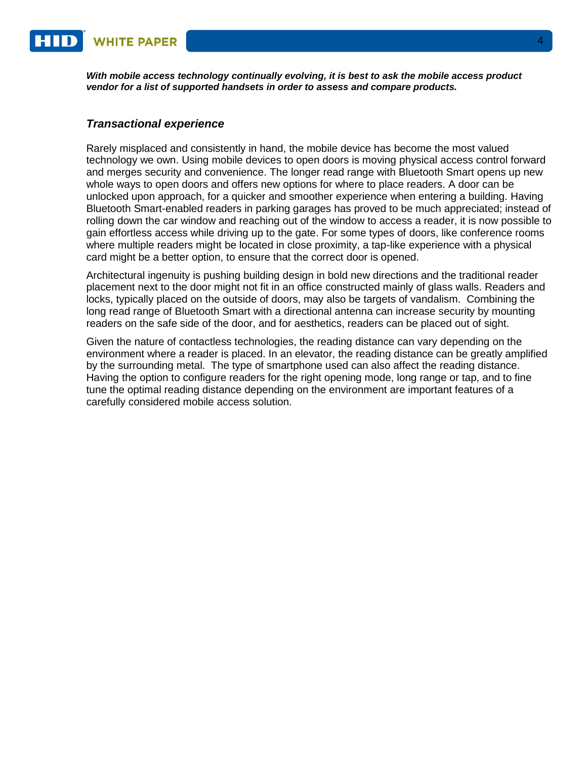*With mobile access technology continually evolving, it is best to ask the mobile access product vendor for a list of supported handsets in order to assess and compare products.*

#### *Transactional experience*

Rarely misplaced and consistently in hand, the mobile device has become the most valued technology we own. Using mobile devices to open doors is moving physical access control forward and merges security and convenience. The longer read range with Bluetooth Smart opens up new whole ways to open doors and offers new options for where to place readers. A door can be unlocked upon approach, for a quicker and smoother experience when entering a building. Having Bluetooth Smart-enabled readers in parking garages has proved to be much appreciated; instead of rolling down the car window and reaching out of the window to access a reader, it is now possible to gain effortless access while driving up to the gate. For some types of doors, like conference rooms where multiple readers might be located in close proximity, a tap-like experience with a physical card might be a better option, to ensure that the correct door is opened.

Architectural ingenuity is pushing building design in bold new directions and the traditional reader placement next to the door might not fit in an office constructed mainly of glass walls. Readers and locks, typically placed on the outside of doors, may also be targets of vandalism. Combining the long read range of Bluetooth Smart with a directional antenna can increase security by mounting readers on the safe side of the door, and for aesthetics, readers can be placed out of sight.

Given the nature of contactless technologies, the reading distance can vary depending on the environment where a reader is placed. In an elevator, the reading distance can be greatly amplified by the surrounding metal. The type of smartphone used can also affect the reading distance. Having the option to configure readers for the right opening mode, long range or tap, and to fine tune the optimal reading distance depending on the environment are important features of a carefully considered mobile access solution.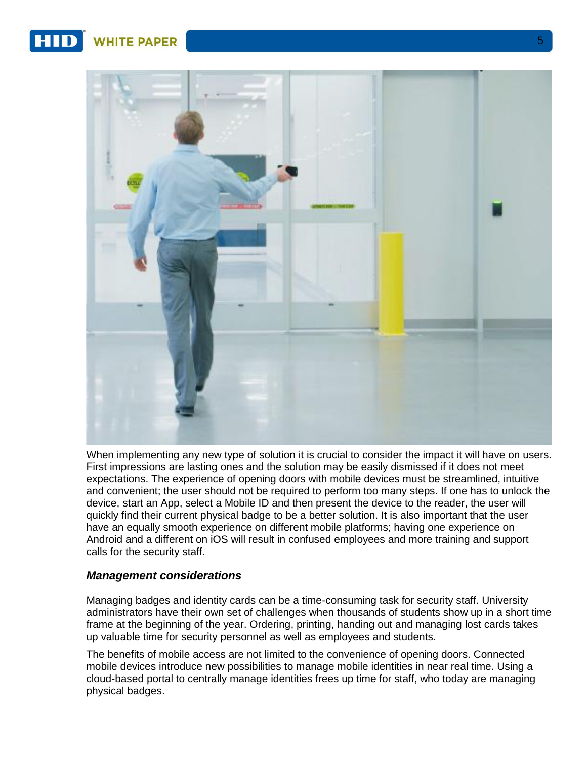**WHITE PAPER** 



When implementing any new type of solution it is crucial to consider the impact it will have on users. First impressions are lasting ones and the solution may be easily dismissed if it does not meet expectations. The experience of opening doors with mobile devices must be streamlined, intuitive and convenient; the user should not be required to perform too many steps. If one has to unlock the device, start an App, select a Mobile ID and then present the device to the reader, the user will quickly find their current physical badge to be a better solution. It is also important that the user have an equally smooth experience on different mobile platforms; having one experience on Android and a different on iOS will result in confused employees and more training and support calls for the security staff.

### *Management considerations*

Managing badges and identity cards can be a time-consuming task for security staff. University administrators have their own set of challenges when thousands of students show up in a short time frame at the beginning of the year. Ordering, printing, handing out and managing lost cards takes up valuable time for security personnel as well as employees and students.

The benefits of mobile access are not limited to the convenience of opening doors. Connected mobile devices introduce new possibilities to manage mobile identities in near real time. Using a cloud-based portal to centrally manage identities frees up time for staff, who today are managing physical badges.

5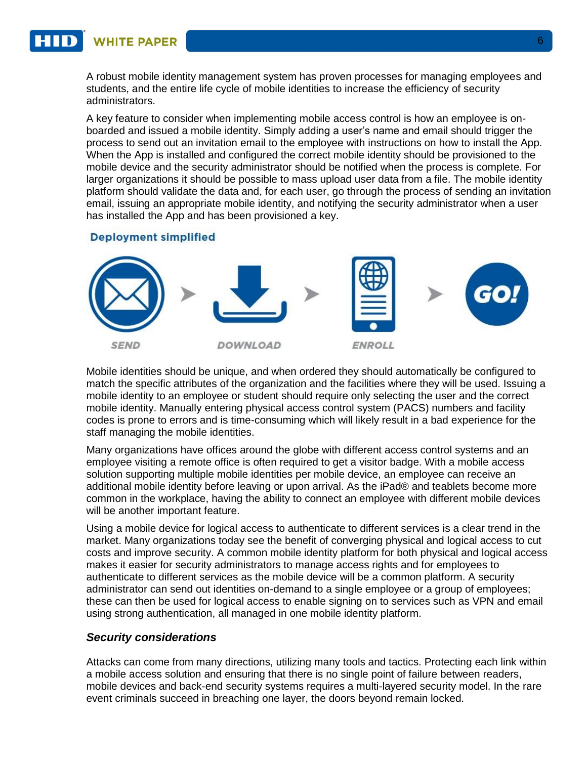**WHITE PAPER** 

A robust mobile identity management system has proven processes for managing employees and students, and the entire life cycle of mobile identities to increase the efficiency of security administrators.

A key feature to consider when implementing mobile access control is how an employee is onboarded and issued a mobile identity. Simply adding a user's name and email should trigger the process to send out an invitation email to the employee with instructions on how to install the App. When the App is installed and configured the correct mobile identity should be provisioned to the mobile device and the security administrator should be notified when the process is complete. For larger organizations it should be possible to mass upload user data from a file. The mobile identity platform should validate the data and, for each user, go through the process of sending an invitation email, issuing an appropriate mobile identity, and notifying the security administrator when a user has installed the App and has been provisioned a key.

#### **Deployment simplified**



Mobile identities should be unique, and when ordered they should automatically be configured to match the specific attributes of the organization and the facilities where they will be used. Issuing a mobile identity to an employee or student should require only selecting the user and the correct mobile identity. Manually entering physical access control system (PACS) numbers and facility codes is prone to errors and is time-consuming which will likely result in a bad experience for the staff managing the mobile identities.

Many organizations have offices around the globe with different access control systems and an employee visiting a remote office is often required to get a visitor badge. With a mobile access solution supporting multiple mobile identities per mobile device, an employee can receive an additional mobile identity before leaving or upon arrival. As the iPad® and teablets become more common in the workplace, having the ability to connect an employee with different mobile devices will be another important feature.

Using a mobile device for logical access to authenticate to different services is a clear trend in the market. Many organizations today see the benefit of converging physical and logical access to cut costs and improve security. A common mobile identity platform for both physical and logical access makes it easier for security administrators to manage access rights and for employees to authenticate to different services as the mobile device will be a common platform. A security administrator can send out identities on-demand to a single employee or a group of employees; these can then be used for logical access to enable signing on to services such as VPN and email using strong authentication, all managed in one mobile identity platform.

### *Security considerations*

Attacks can come from many directions, utilizing many tools and tactics. Protecting each link within a mobile access solution and ensuring that there is no single point of failure between readers, mobile devices and back-end security systems requires a multi-layered security model. In the rare event criminals succeed in breaching one layer, the doors beyond remain locked.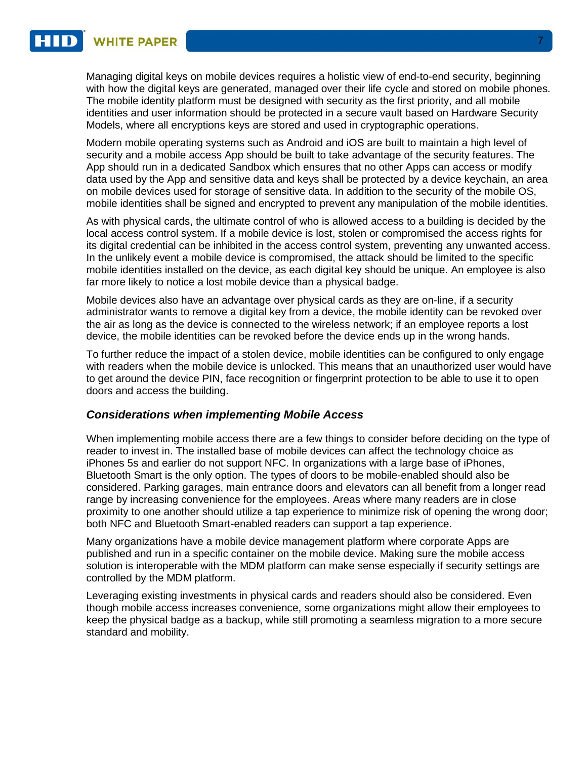Managing digital keys on mobile devices requires a holistic view of end-to-end security, beginning with how the digital keys are generated, managed over their life cycle and stored on mobile phones. The mobile identity platform must be designed with security as the first priority, and all mobile identities and user information should be protected in a secure vault based on Hardware Security Models, where all encryptions keys are stored and used in cryptographic operations.

Modern mobile operating systems such as Android and iOS are built to maintain a high level of security and a mobile access App should be built to take advantage of the security features. The App should run in a dedicated Sandbox which ensures that no other Apps can access or modify data used by the App and sensitive data and keys shall be protected by a device keychain, an area on mobile devices used for storage of sensitive data. In addition to the security of the mobile OS, mobile identities shall be signed and encrypted to prevent any manipulation of the mobile identities.

As with physical cards, the ultimate control of who is allowed access to a building is decided by the local access control system. If a mobile device is lost, stolen or compromised the access rights for its digital credential can be inhibited in the access control system, preventing any unwanted access. In the unlikely event a mobile device is compromised, the attack should be limited to the specific mobile identities installed on the device, as each digital key should be unique. An employee is also far more likely to notice a lost mobile device than a physical badge.

Mobile devices also have an advantage over physical cards as they are on-line, if a security administrator wants to remove a digital key from a device, the mobile identity can be revoked over the air as long as the device is connected to the wireless network; if an employee reports a lost device, the mobile identities can be revoked before the device ends up in the wrong hands.

To further reduce the impact of a stolen device, mobile identities can be configured to only engage with readers when the mobile device is unlocked. This means that an unauthorized user would have to get around the device PIN, face recognition or fingerprint protection to be able to use it to open doors and access the building.

### *Considerations when implementing Mobile Access*

When implementing mobile access there are a few things to consider before deciding on the type of reader to invest in. The installed base of mobile devices can affect the technology choice as iPhones 5s and earlier do not support NFC. In organizations with a large base of iPhones, Bluetooth Smart is the only option. The types of doors to be mobile-enabled should also be considered. Parking garages, main entrance doors and elevators can all benefit from a longer read range by increasing convenience for the employees. Areas where many readers are in close proximity to one another should utilize a tap experience to minimize risk of opening the wrong door; both NFC and Bluetooth Smart-enabled readers can support a tap experience.

Many organizations have a mobile device management platform where corporate Apps are published and run in a specific container on the mobile device. Making sure the mobile access solution is interoperable with the MDM platform can make sense especially if security settings are controlled by the MDM platform.

Leveraging existing investments in physical cards and readers should also be considered. Even though mobile access increases convenience, some organizations might allow their employees to keep the physical badge as a backup, while still promoting a seamless migration to a more secure standard and mobility.